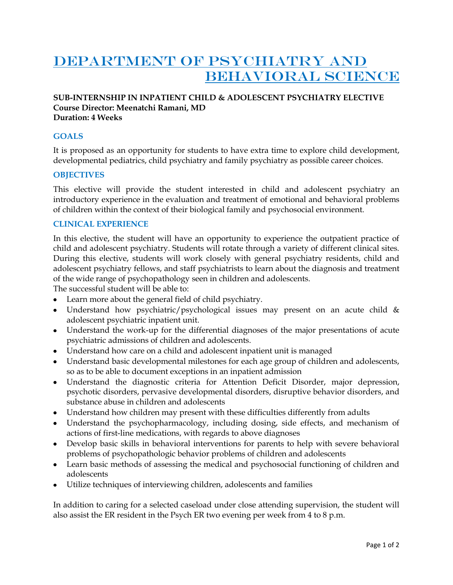# DEPARTMENT OF PSYCHIATRY AND BEHAVIORAL SCIENCE

#### **SUB-INTERNSHIP IN INPATIENT CHILD & ADOLESCENT PSYCHIATRY ELECTIVE Course Director: Meenatchi Ramani, MD Duration: 4 Weeks**

# **GOALS**

It is proposed as an opportunity for students to have extra time to explore child development, developmental pediatrics, child psychiatry and family psychiatry as possible career choices.

## **OBJECTIVES**

This elective will provide the student interested in child and adolescent psychiatry an introductory experience in the evaluation and treatment of emotional and behavioral problems of children within the context of their biological family and psychosocial environment.

## **CLINICAL EXPERIENCE**

In this elective, the student will have an opportunity to experience the outpatient practice of child and adolescent psychiatry. Students will rotate through a variety of different clinical sites. During this elective, students will work closely with general psychiatry residents, child and adolescent psychiatry fellows, and staff psychiatrists to learn about the diagnosis and treatment of the wide range of psychopathology seen in children and adolescents.

The successful student will be able to:

- Learn more about the general field of child psychiatry.
- Understand how psychiatric/psychological issues may present on an acute child & adolescent psychiatric inpatient unit.
- Understand the work-up for the differential diagnoses of the major presentations of acute psychiatric admissions of children and adolescents.
- Understand how care on a child and adolescent inpatient unit is managed
- Understand basic developmental milestones for each age group of children and adolescents, so as to be able to document exceptions in an inpatient admission
- Understand the diagnostic criteria for Attention Deficit Disorder, major depression, psychotic disorders, pervasive developmental disorders, disruptive behavior disorders, and substance abuse in children and adolescents
- Understand how children may present with these difficulties differently from adults
- Understand the psychopharmacology, including dosing, side effects, and mechanism of actions of first-line medications, with regards to above diagnoses
- Develop basic skills in behavioral interventions for parents to help with severe behavioral problems of psychopathologic behavior problems of children and adolescents
- Learn basic methods of assessing the medical and psychosocial functioning of children and adolescents
- Utilize techniques of interviewing children, adolescents and families

In addition to caring for a selected caseload under close attending supervision, the student will also assist the ER resident in the Psych ER two evening per week from 4 to 8 p.m.